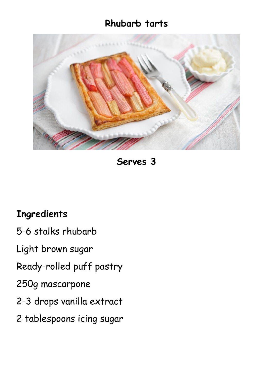## **Rhubarb tarts**



**Serves 3**

## **Ingredients**

- 5-6 stalks rhubarb
- Light brown sugar
- Ready-rolled puff pastry
- 250g mascarpone
- 2-3 drops vanilla extract
- 2 tablespoons icing sugar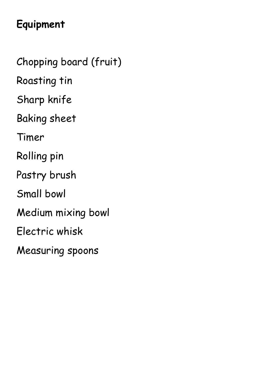## **Equipment**

Chopping board (fruit) Roasting tin Sharp knife Baking sheet Timer Rolling pin Pastry brush Small bowl Medium mixing bowl Electric whisk Measuring spoons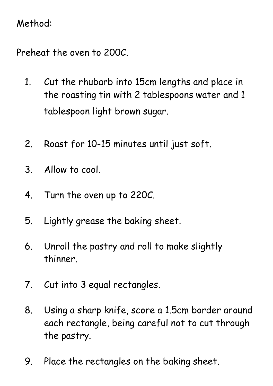## Method:

Preheat the oven to 200C.

- 1. Cut the rhubarb into 15cm lengths and place in the roasting tin with 2 tablespoons water and 1 tablespoon light brown sugar.
- 2. Roast for 10-15 minutes until just soft.
- 3. Allow to cool.
- 4. Turn the oven up to 220C.
- 5. Lightly grease the baking sheet.
- 6. Unroll the pastry and roll to make slightly thinner.
- 7. Cut into 3 equal rectangles.
- 8. Using a sharp knife, score a 1.5cm border around each rectangle, being careful not to cut through the pastry.
- 9. Place the rectangles on the baking sheet.